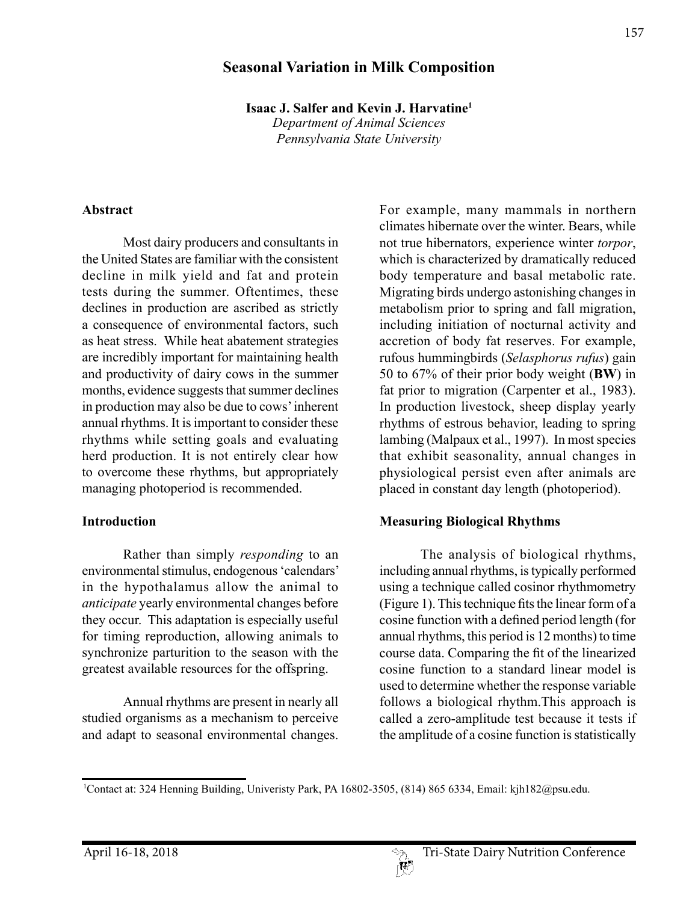# **Seasonal Variation in Milk Composition**

**Isaac J. Salfer and Kevin J. Harvatine1** *Department of Animal Sciences*

*Pennsylvania State University*

#### **Abstract**

Most dairy producers and consultants in the United States are familiar with the consistent decline in milk yield and fat and protein tests during the summer. Oftentimes, these declines in production are ascribed as strictly a consequence of environmental factors, such as heat stress. While heat abatement strategies are incredibly important for maintaining health and productivity of dairy cows in the summer months, evidence suggests that summer declines in production may also be due to cows' inherent annual rhythms. It is important to consider these rhythms while setting goals and evaluating herd production. It is not entirely clear how to overcome these rhythms, but appropriately managing photoperiod is recommended.

#### **Introduction**

Rather than simply *responding* to an environmental stimulus, endogenous 'calendars' in the hypothalamus allow the animal to *anticipate* yearly environmental changes before they occur. This adaptation is especially useful for timing reproduction, allowing animals to synchronize parturition to the season with the greatest available resources for the offspring.

Annual rhythms are present in nearly all studied organisms as a mechanism to perceive and adapt to seasonal environmental changes.

For example, many mammals in northern climates hibernate over the winter. Bears, while not true hibernators, experience winter *torpor*, which is characterized by dramatically reduced body temperature and basal metabolic rate. Migrating birds undergo astonishing changes in metabolism prior to spring and fall migration, including initiation of nocturnal activity and accretion of body fat reserves. For example, rufous hummingbirds (*Selasphorus rufus*) gain 50 to 67% of their prior body weight (**BW**) in fat prior to migration (Carpenter et al., 1983). In production livestock, sheep display yearly rhythms of estrous behavior, leading to spring lambing (Malpaux et al., 1997). In most species that exhibit seasonality, annual changes in physiological persist even after animals are placed in constant day length (photoperiod).

#### **Measuring Biological Rhythms**

The analysis of biological rhythms, including annual rhythms, is typically performed using a technique called cosinor rhythmometry (Figure 1). This technique fits the linear form of a cosine function with a defined period length (for annual rhythms, this period is 12 months) to time course data. Comparing the fit of the linearized cosine function to a standard linear model is used to determine whether the response variable follows a biological rhythm.This approach is called a zero-amplitude test because it tests if the amplitude of a cosine function is statistically

<sup>1</sup> Contact at: 324 Henning Building, Univeristy Park, PA 16802-3505, (814) 865 6334, Email: kjh182@psu.edu.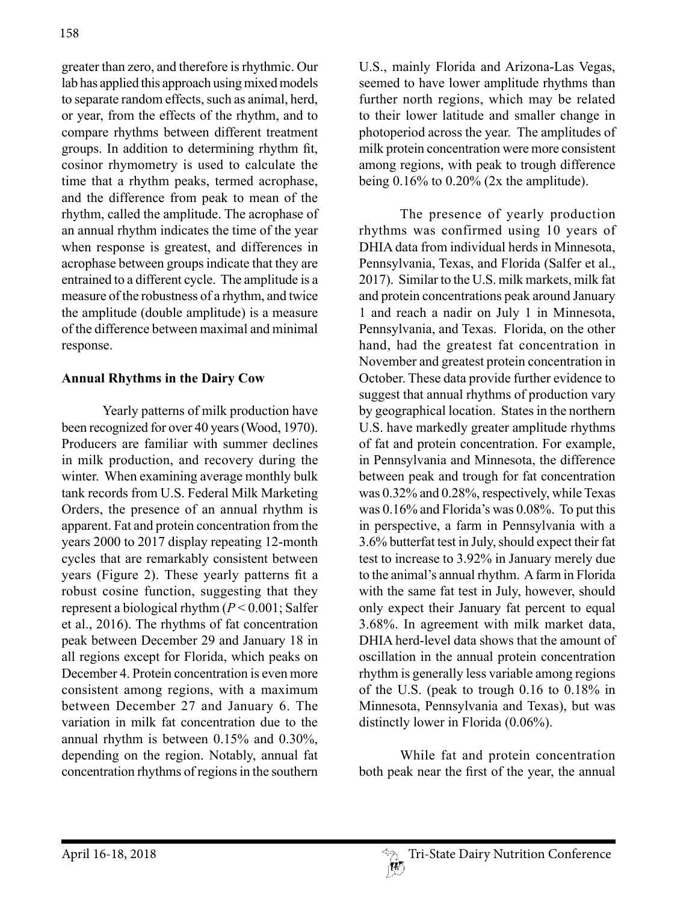greater than zero, and therefore is rhythmic. Our lab has applied this approach using mixed models to separate random effects, such as animal, herd, or year, from the effects of the rhythm, and to compare rhythms between different treatment groups. In addition to determining rhythm fit, cosinor rhymometry is used to calculate the time that a rhythm peaks, termed acrophase, and the difference from peak to mean of the rhythm, called the amplitude. The acrophase of an annual rhythm indicates the time of the year when response is greatest, and differences in acrophase between groups indicate that they are entrained to a different cycle. The amplitude is a measure of the robustness of a rhythm, and twice the amplitude (double amplitude) is a measure of the difference between maximal and minimal response.

### **Annual Rhythms in the Dairy Cow**

Yearly patterns of milk production have been recognized for over 40 years (Wood, 1970). Producers are familiar with summer declines in milk production, and recovery during the winter. When examining average monthly bulk tank records from U.S. Federal Milk Marketing Orders, the presence of an annual rhythm is apparent. Fat and protein concentration from the years 2000 to 2017 display repeating 12-month cycles that are remarkably consistent between years (Figure 2). These yearly patterns fit a robust cosine function, suggesting that they represent a biological rhythm (*P* < 0.001; Salfer et al., 2016). The rhythms of fat concentration peak between December 29 and January 18 in all regions except for Florida, which peaks on December 4. Protein concentration is even more consistent among regions, with a maximum between December 27 and January 6. The variation in milk fat concentration due to the annual rhythm is between 0.15% and 0.30%, depending on the region. Notably, annual fat concentration rhythms of regions in the southern

U.S., mainly Florida and Arizona-Las Vegas, seemed to have lower amplitude rhythms than further north regions, which may be related to their lower latitude and smaller change in photoperiod across the year. The amplitudes of milk protein concentration were more consistent among regions, with peak to trough difference being  $0.16\%$  to  $0.20\%$  (2x the amplitude).

The presence of yearly production rhythms was confirmed using 10 years of DHIA data from individual herds in Minnesota, Pennsylvania, Texas, and Florida (Salfer et al., 2017). Similar to the U.S. milk markets, milk fat and protein concentrations peak around January 1 and reach a nadir on July 1 in Minnesota, Pennsylvania, and Texas. Florida, on the other hand, had the greatest fat concentration in November and greatest protein concentration in October. These data provide further evidence to suggest that annual rhythms of production vary by geographical location. States in the northern U.S. have markedly greater amplitude rhythms of fat and protein concentration. For example, in Pennsylvania and Minnesota, the difference between peak and trough for fat concentration was 0.32% and 0.28%, respectively, while Texas was 0.16% and Florida's was 0.08%. To put this in perspective, a farm in Pennsylvania with a 3.6% butterfat test in July, should expect their fat test to increase to 3.92% in January merely due to the animal's annual rhythm. A farm in Florida with the same fat test in July, however, should only expect their January fat percent to equal 3.68%. In agreement with milk market data, DHIA herd-level data shows that the amount of oscillation in the annual protein concentration rhythm is generally less variable among regions of the U.S. (peak to trough 0.16 to 0.18% in Minnesota, Pennsylvania and Texas), but was distinctly lower in Florida (0.06%).

While fat and protein concentration both peak near the first of the year, the annual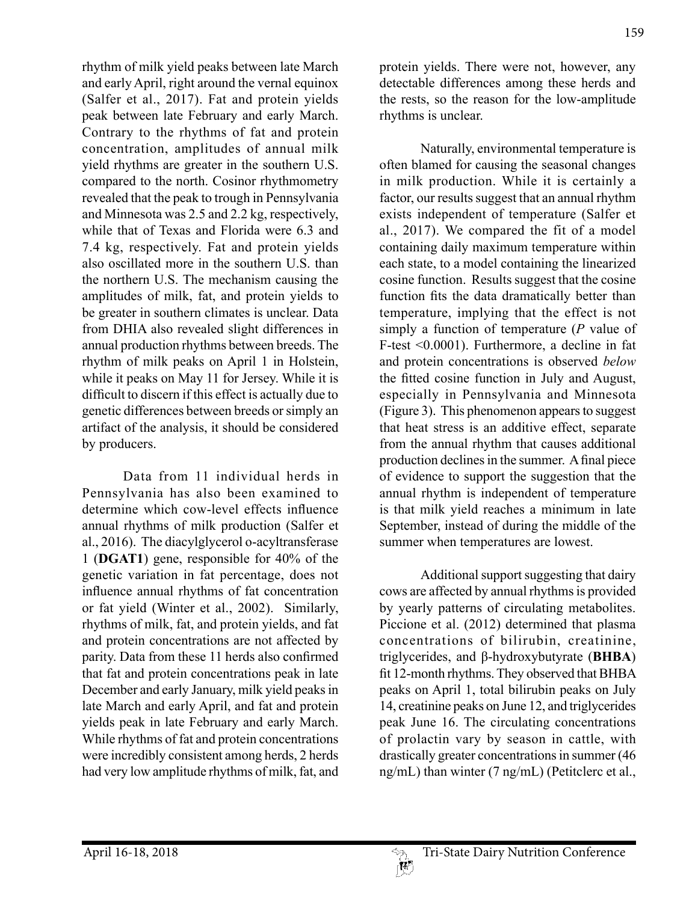rhythm of milk yield peaks between late March and early April, right around the vernal equinox (Salfer et al., 2017). Fat and protein yields peak between late February and early March. Contrary to the rhythms of fat and protein concentration, amplitudes of annual milk yield rhythms are greater in the southern U.S. compared to the north. Cosinor rhythmometry revealed that the peak to trough in Pennsylvania and Minnesota was 2.5 and 2.2 kg, respectively, while that of Texas and Florida were 6.3 and 7.4 kg, respectively. Fat and protein yields also oscillated more in the southern U.S. than the northern U.S. The mechanism causing the amplitudes of milk, fat, and protein yields to be greater in southern climates is unclear. Data from DHIA also revealed slight differences in annual production rhythms between breeds. The rhythm of milk peaks on April 1 in Holstein, while it peaks on May 11 for Jersey. While it is difficult to discern if this effect is actually due to genetic differences between breeds or simply an artifact of the analysis, it should be considered by producers.

Data from 11 individual herds in Pennsylvania has also been examined to determine which cow-level effects influence annual rhythms of milk production (Salfer et al., 2016). The diacylglycerol o-acyltransferase 1 (**DGAT1**) gene, responsible for 40% of the genetic variation in fat percentage, does not influence annual rhythms of fat concentration or fat yield (Winter et al., 2002). Similarly, rhythms of milk, fat, and protein yields, and fat and protein concentrations are not affected by parity. Data from these 11 herds also confirmed that fat and protein concentrations peak in late December and early January, milk yield peaks in late March and early April, and fat and protein yields peak in late February and early March. While rhythms of fat and protein concentrations were incredibly consistent among herds, 2 herds had very low amplitude rhythms of milk, fat, and

protein yields. There were not, however, any detectable differences among these herds and the rests, so the reason for the low-amplitude rhythms is unclear.

Naturally, environmental temperature is often blamed for causing the seasonal changes in milk production. While it is certainly a factor, our results suggest that an annual rhythm exists independent of temperature (Salfer et al., 2017). We compared the fit of a model containing daily maximum temperature within each state, to a model containing the linearized cosine function. Results suggest that the cosine function fits the data dramatically better than temperature, implying that the effect is not simply a function of temperature (*P* value of F-test <0.0001). Furthermore, a decline in fat and protein concentrations is observed *below*  the fitted cosine function in July and August, especially in Pennsylvania and Minnesota (Figure 3). This phenomenon appears to suggest that heat stress is an additive effect, separate from the annual rhythm that causes additional production declines in the summer. A final piece of evidence to support the suggestion that the annual rhythm is independent of temperature is that milk yield reaches a minimum in late September, instead of during the middle of the summer when temperatures are lowest.

Additional support suggesting that dairy cows are affected by annual rhythms is provided by yearly patterns of circulating metabolites. Piccione et al. (2012) determined that plasma concentrations of bilirubin, creatinine, triglycerides, and β-hydroxybutyrate (**BHBA**) fit 12-month rhythms. They observed that BHBA peaks on April 1, total bilirubin peaks on July 14, creatinine peaks on June 12, and triglycerides peak June 16. The circulating concentrations of prolactin vary by season in cattle, with drastically greater concentrations in summer (46 ng/mL) than winter (7 ng/mL) (Petitclerc et al.,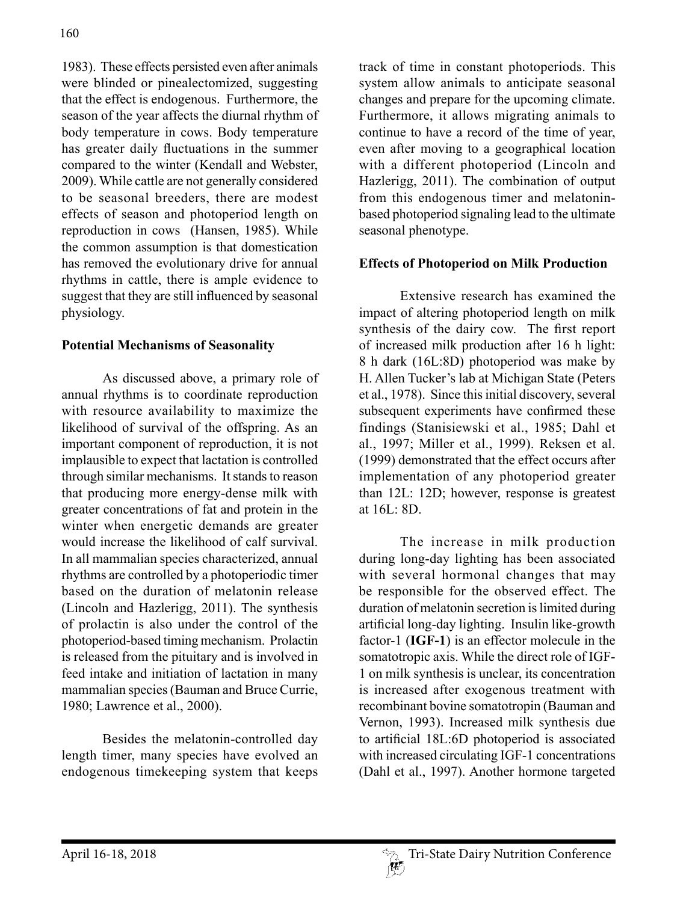1983). These effects persisted even after animals were blinded or pinealectomized, suggesting that the effect is endogenous. Furthermore, the season of the year affects the diurnal rhythm of body temperature in cows. Body temperature has greater daily fluctuations in the summer compared to the winter (Kendall and Webster, 2009). While cattle are not generally considered to be seasonal breeders, there are modest effects of season and photoperiod length on reproduction in cows (Hansen, 1985). While the common assumption is that domestication has removed the evolutionary drive for annual rhythms in cattle, there is ample evidence to suggest that they are still influenced by seasonal physiology.

## **Potential Mechanisms of Seasonality**

As discussed above, a primary role of annual rhythms is to coordinate reproduction with resource availability to maximize the likelihood of survival of the offspring. As an important component of reproduction, it is not implausible to expect that lactation is controlled through similar mechanisms. It stands to reason that producing more energy-dense milk with greater concentrations of fat and protein in the winter when energetic demands are greater would increase the likelihood of calf survival. In all mammalian species characterized, annual rhythms are controlled by a photoperiodic timer based on the duration of melatonin release (Lincoln and Hazlerigg, 2011). The synthesis of prolactin is also under the control of the photoperiod-based timing mechanism. Prolactin is released from the pituitary and is involved in feed intake and initiation of lactation in many mammalian species (Bauman and Bruce Currie, 1980; Lawrence et al., 2000).

Besides the melatonin-controlled day length timer, many species have evolved an endogenous timekeeping system that keeps track of time in constant photoperiods. This system allow animals to anticipate seasonal changes and prepare for the upcoming climate. Furthermore, it allows migrating animals to continue to have a record of the time of year, even after moving to a geographical location with a different photoperiod (Lincoln and Hazlerigg, 2011). The combination of output from this endogenous timer and melatoninbased photoperiod signaling lead to the ultimate seasonal phenotype.

# **Effects of Photoperiod on Milk Production**

Extensive research has examined the impact of altering photoperiod length on milk synthesis of the dairy cow. The first report of increased milk production after 16 h light: 8 h dark (16L:8D) photoperiod was make by H. Allen Tucker's lab at Michigan State (Peters et al., 1978). Since this initial discovery, several subsequent experiments have confirmed these findings (Stanisiewski et al., 1985; Dahl et al., 1997; Miller et al., 1999). Reksen et al. (1999) demonstrated that the effect occurs after implementation of any photoperiod greater than 12L: 12D; however, response is greatest at 16L: 8D.

The increase in milk production during long-day lighting has been associated with several hormonal changes that may be responsible for the observed effect. The duration of melatonin secretion is limited during artificial long-day lighting. Insulin like-growth factor-1 (**IGF-1**) is an effector molecule in the somatotropic axis. While the direct role of IGF-1 on milk synthesis is unclear, its concentration is increased after exogenous treatment with recombinant bovine somatotropin (Bauman and Vernon, 1993). Increased milk synthesis due to artificial 18L:6D photoperiod is associated with increased circulating IGF-1 concentrations (Dahl et al., 1997). Another hormone targeted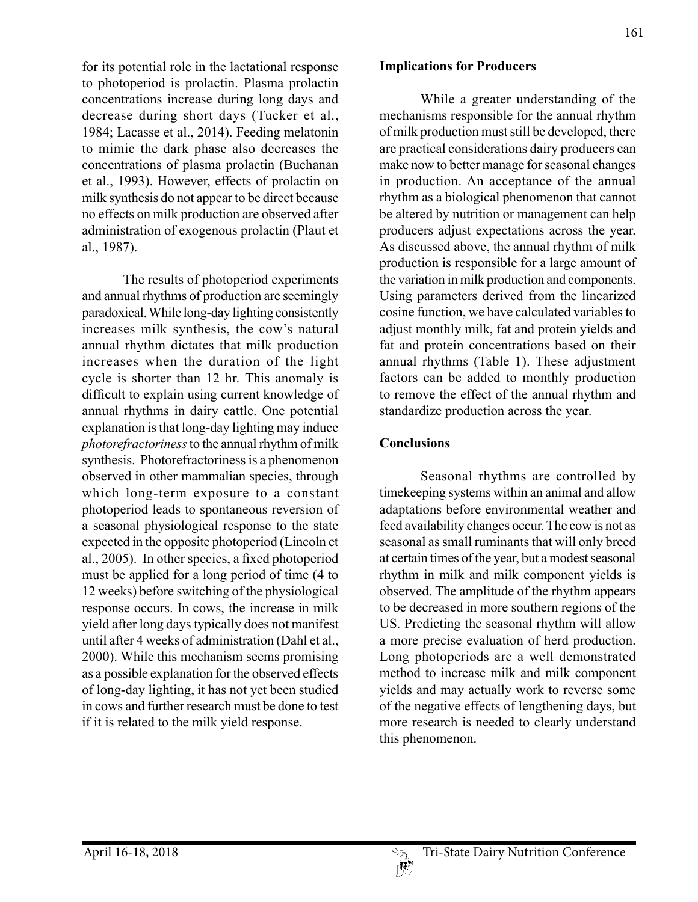for its potential role in the lactational response to photoperiod is prolactin. Plasma prolactin concentrations increase during long days and decrease during short days (Tucker et al., 1984; Lacasse et al., 2014). Feeding melatonin to mimic the dark phase also decreases the concentrations of plasma prolactin (Buchanan et al., 1993). However, effects of prolactin on milk synthesis do not appear to be direct because no effects on milk production are observed after administration of exogenous prolactin (Plaut et al., 1987).

The results of photoperiod experiments and annual rhythms of production are seemingly paradoxical. While long-day lighting consistently increases milk synthesis, the cow's natural annual rhythm dictates that milk production increases when the duration of the light cycle is shorter than 12 hr. This anomaly is difficult to explain using current knowledge of annual rhythms in dairy cattle. One potential explanation is that long-day lighting may induce *photorefractoriness* to the annual rhythm of milk synthesis. Photorefractoriness is a phenomenon observed in other mammalian species, through which long-term exposure to a constant photoperiod leads to spontaneous reversion of a seasonal physiological response to the state expected in the opposite photoperiod (Lincoln et al., 2005). In other species, a fixed photoperiod must be applied for a long period of time (4 to 12 weeks) before switching of the physiological response occurs. In cows, the increase in milk yield after long days typically does not manifest until after 4 weeks of administration (Dahl et al., 2000). While this mechanism seems promising as a possible explanation for the observed effects of long-day lighting, it has not yet been studied in cows and further research must be done to test if it is related to the milk yield response.

While a greater understanding of the mechanisms responsible for the annual rhythm of milk production must still be developed, there are practical considerations dairy producers can make now to better manage for seasonal changes in production. An acceptance of the annual rhythm as a biological phenomenon that cannot be altered by nutrition or management can help producers adjust expectations across the year. As discussed above, the annual rhythm of milk production is responsible for a large amount of the variation in milk production and components. Using parameters derived from the linearized cosine function, we have calculated variables to adjust monthly milk, fat and protein yields and fat and protein concentrations based on their annual rhythms (Table 1). These adjustment factors can be added to monthly production to remove the effect of the annual rhythm and standardize production across the year.

#### **Conclusions**

Seasonal rhythms are controlled by timekeeping systems within an animal and allow adaptations before environmental weather and feed availability changes occur. The cow is not as seasonal as small ruminants that will only breed at certain times of the year, but a modest seasonal rhythm in milk and milk component yields is observed. The amplitude of the rhythm appears to be decreased in more southern regions of the US. Predicting the seasonal rhythm will allow a more precise evaluation of herd production. Long photoperiods are a well demonstrated method to increase milk and milk component yields and may actually work to reverse some of the negative effects of lengthening days, but more research is needed to clearly understand this phenomenon.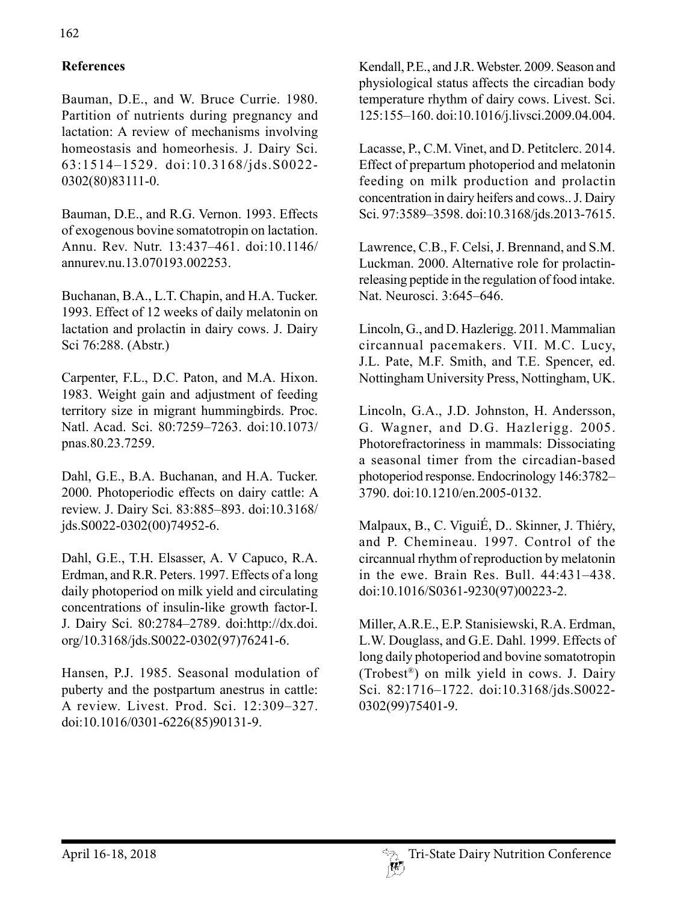# **References**

Bauman, D.E., and W. Bruce Currie. 1980. Partition of nutrients during pregnancy and lactation: A review of mechanisms involving homeostasis and homeorhesis. J. Dairy Sci. 63:1514–1529. doi:10.3168/jds.S0022- 0302(80)83111-0.

Bauman, D.E., and R.G. Vernon. 1993. Effects of exogenous bovine somatotropin on lactation. Annu. Rev. Nutr. 13:437–461. doi:10.1146/ annurev.nu.13.070193.002253.

Buchanan, B.A., L.T. Chapin, and H.A. Tucker. 1993. Effect of 12 weeks of daily melatonin on lactation and prolactin in dairy cows. J. Dairy Sci 76:288. (Abstr.)

Carpenter, F.L., D.C. Paton, and M.A. Hixon. 1983. Weight gain and adjustment of feeding territory size in migrant hummingbirds. Proc. Natl. Acad. Sci. 80:7259–7263. doi:10.1073/ pnas.80.23.7259.

Dahl, G.E., B.A. Buchanan, and H.A. Tucker. 2000. Photoperiodic effects on dairy cattle: A review. J. Dairy Sci. 83:885–893. doi:10.3168/ jds.S0022-0302(00)74952-6.

Dahl, G.E., T.H. Elsasser, A. V Capuco, R.A. Erdman, and R.R. Peters. 1997. Effects of a long daily photoperiod on milk yield and circulating concentrations of insulin-like growth factor-I. J. Dairy Sci. 80:2784–2789. doi:http://dx.doi. org/10.3168/jds.S0022-0302(97)76241-6.

Hansen, P.J. 1985. Seasonal modulation of puberty and the postpartum anestrus in cattle: A review. Livest. Prod. Sci. 12:309–327. doi:10.1016/0301-6226(85)90131-9.

Kendall, P.E., and J.R. Webster. 2009. Season and physiological status affects the circadian body temperature rhythm of dairy cows. Livest. Sci. 125:155–160. doi:10.1016/j.livsci.2009.04.004.

Lacasse, P., C.M. Vinet, and D. Petitclerc. 2014. Effect of prepartum photoperiod and melatonin feeding on milk production and prolactin concentration in dairy heifers and cows.. J. Dairy Sci. 97:3589–3598. doi:10.3168/jds.2013-7615.

Lawrence, C.B., F. Celsi, J. Brennand, and S.M. Luckman. 2000. Alternative role for prolactinreleasing peptide in the regulation of food intake. Nat. Neurosci. 3:645–646.

Lincoln, G., and D. Hazlerigg. 2011. Mammalian circannual pacemakers. VII. M.C. Lucy, J.L. Pate, M.F. Smith, and T.E. Spencer, ed. Nottingham University Press, Nottingham, UK.

Lincoln, G.A., J.D. Johnston, H. Andersson, G. Wagner, and D.G. Hazlerigg. 2005. Photorefractoriness in mammals: Dissociating a seasonal timer from the circadian-based photoperiod response. Endocrinology 146:3782– 3790. doi:10.1210/en.2005-0132.

Malpaux, B., C. ViguiÉ, D.. Skinner, J. Thiéry, and P. Chemineau. 1997. Control of the circannual rhythm of reproduction by melatonin in the ewe. Brain Res. Bull. 44:431–438. doi:10.1016/S0361-9230(97)00223-2.

Miller, A.R.E., E.P. Stanisiewski, R.A. Erdman, L.W. Douglass, and G.E. Dahl. 1999. Effects of long daily photoperiod and bovine somatotropin (Trobest®) on milk yield in cows. J. Dairy Sci. 82:1716–1722. doi:10.3168/jds.S0022- 0302(99)75401-9.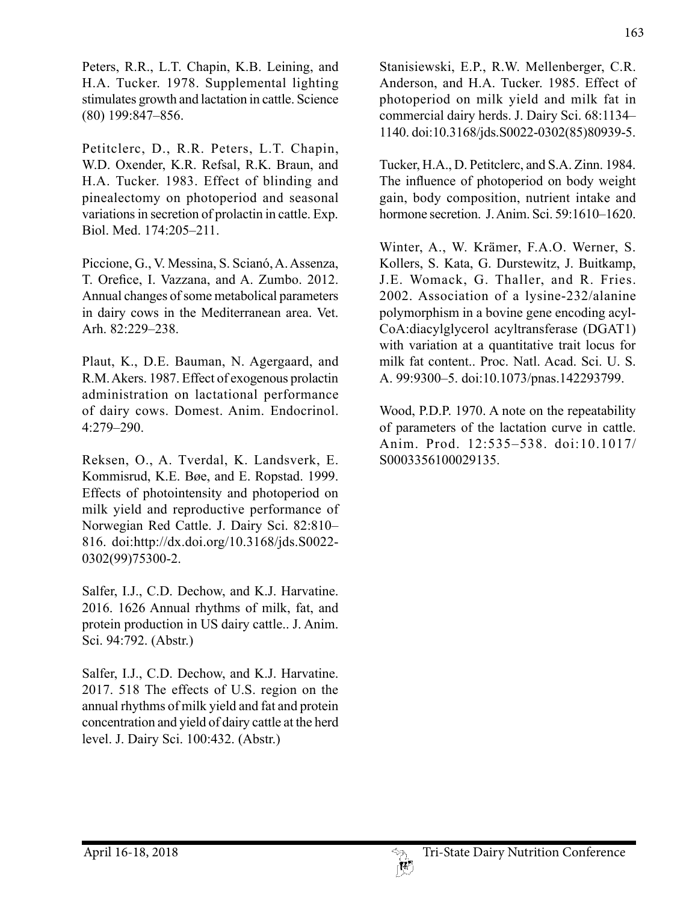Peters, R.R., L.T. Chapin, K.B. Leining, and H.A. Tucker. 1978. Supplemental lighting stimulates growth and lactation in cattle. Science (80) 199:847–856.

Petitclerc, D., R.R. Peters, L.T. Chapin, W.D. Oxender, K.R. Refsal, R.K. Braun, and H.A. Tucker. 1983. Effect of blinding and pinealectomy on photoperiod and seasonal variations in secretion of prolactin in cattle. Exp. Biol. Med. 174:205–211.

Piccione, G., V. Messina, S. Scianó, A. Assenza, T. Orefice, I. Vazzana, and A. Zumbo. 2012. Annual changes of some metabolical parameters in dairy cows in the Mediterranean area. Vet. Arh. 82:229–238.

Plaut, K., D.E. Bauman, N. Agergaard, and R.M. Akers. 1987. Effect of exogenous prolactin administration on lactational performance of dairy cows. Domest. Anim. Endocrinol. 4:279–290.

Reksen, O., A. Tverdal, K. Landsverk, E. Kommisrud, K.E. Bøe, and E. Ropstad. 1999. Effects of photointensity and photoperiod on milk yield and reproductive performance of Norwegian Red Cattle. J. Dairy Sci. 82:810– 816. doi:http://dx.doi.org/10.3168/jds.S0022- 0302(99)75300-2.

Salfer, I.J., C.D. Dechow, and K.J. Harvatine. 2016. 1626 Annual rhythms of milk, fat, and protein production in US dairy cattle.. J. Anim. Sci. 94:792. (Abstr.)

Salfer, I.J., C.D. Dechow, and K.J. Harvatine. 2017. 518 The effects of U.S. region on the annual rhythms of milk yield and fat and protein concentration and yield of dairy cattle at the herd level. J. Dairy Sci. 100:432. (Abstr.)

Stanisiewski, E.P., R.W. Mellenberger, C.R. Anderson, and H.A. Tucker. 1985. Effect of photoperiod on milk yield and milk fat in commercial dairy herds. J. Dairy Sci. 68:1134– 1140. doi:10.3168/jds.S0022-0302(85)80939-5.

Tucker, H.A., D. Petitclerc, and S.A. Zinn. 1984. The influence of photoperiod on body weight gain, body composition, nutrient intake and hormone secretion. J. Anim. Sci. 59:1610–1620.

Winter, A., W. Krämer, F.A.O. Werner, S. Kollers, S. Kata, G. Durstewitz, J. Buitkamp, J.E. Womack, G. Thaller, and R. Fries. 2002. Association of a lysine-232/alanine polymorphism in a bovine gene encoding acyl-CoA:diacylglycerol acyltransferase (DGAT1) with variation at a quantitative trait locus for milk fat content.. Proc. Natl. Acad. Sci. U. S. A. 99:9300–5. doi:10.1073/pnas.142293799.

Wood, P.D.P. 1970. A note on the repeatability of parameters of the lactation curve in cattle. Anim. Prod. 12:535–538. doi:10.1017/ S0003356100029135.

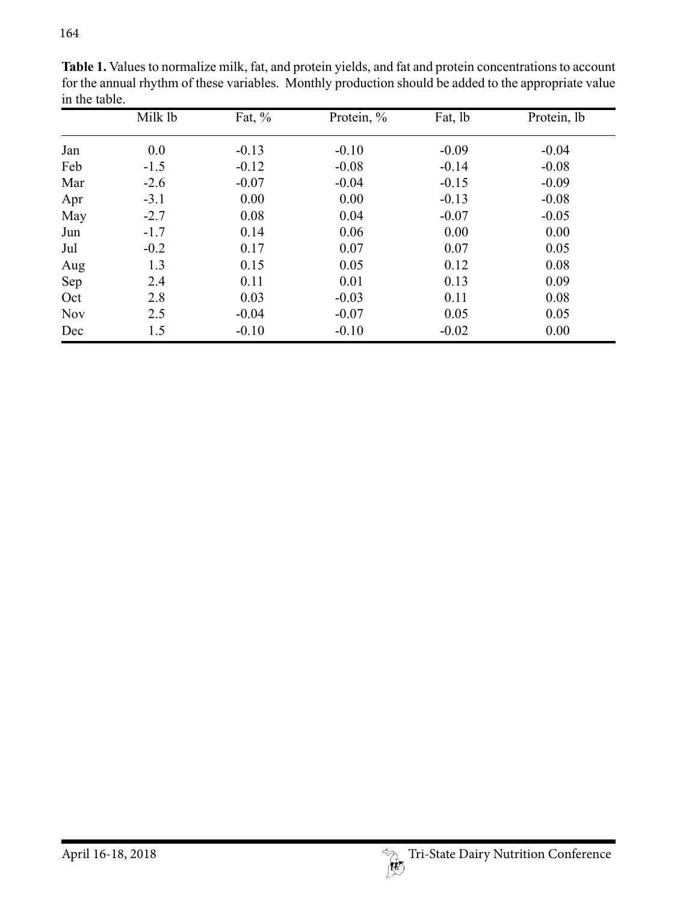|            | Milk lb | Fat, $\%$ | Protein, % | Fat, lb | Protein, lb |
|------------|---------|-----------|------------|---------|-------------|
| Jan        | 0.0     | $-0.13$   | $-0.10$    | $-0.09$ | $-0.04$     |
| Feb        | $-1.5$  | $-0.12$   | $-0.08$    | $-0.14$ | $-0.08$     |
| Mar        | $-2.6$  | $-0.07$   | $-0.04$    | $-0.15$ | $-0.09$     |
| Apr        | $-3.1$  | 0.00      | 0.00       | $-0.13$ | $-0.08$     |
| May        | $-2.7$  | 0.08      | 0.04       | $-0.07$ | $-0.05$     |
| Jun        | $-1.7$  | 0.14      | 0.06       | 0.00    | 0.00        |
| Jul        | $-0.2$  | 0.17      | 0.07       | 0.07    | 0.05        |
| Aug        | 1.3     | 0.15      | 0.05       | 0.12    | 0.08        |
| Sep        | 2.4     | 0.11      | 0.01       | 0.13    | 0.09        |
| Oct        | 2.8     | 0.03      | $-0.03$    | 0.11    | 0.08        |
| <b>Nov</b> | 2.5     | $-0.04$   | $-0.07$    | 0.05    | 0.05        |
| Dec        | 1.5     | $-0.10$   | $-0.10$    | $-0.02$ | 0.00        |

**Table 1.** Values to normalize milk, fat, and protein yields, and fat and protein concentrations to account for the annual rhythm of these variables. Monthly production should be added to the appropriate value in the table.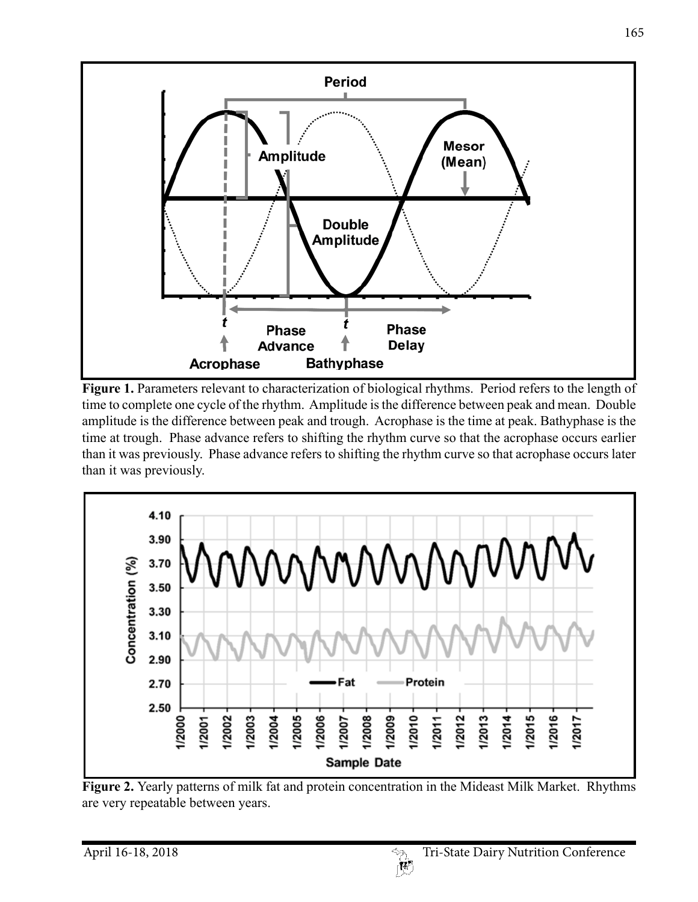

**Figure 1.** Parameters relevant to characterization of biological rhythms. Period refers to the length of time to complete one cycle of the rhythm. Amplitude is the difference between peak and mean. Double amplitude is the difference between peak and trough. Acrophase is the time at peak. Bathyphase is the time at trough. Phase advance refers to shifting the rhythm curve so that the acrophase occurs earlier than it was previously. Phase advance refers to shifting the rhythm curve so that acrophase occurs later than it was previously.



**Figure 2.** Yearly patterns of milk fat and protein concentration in the Mideast Milk Market. Rhythms are very repeatable between years.